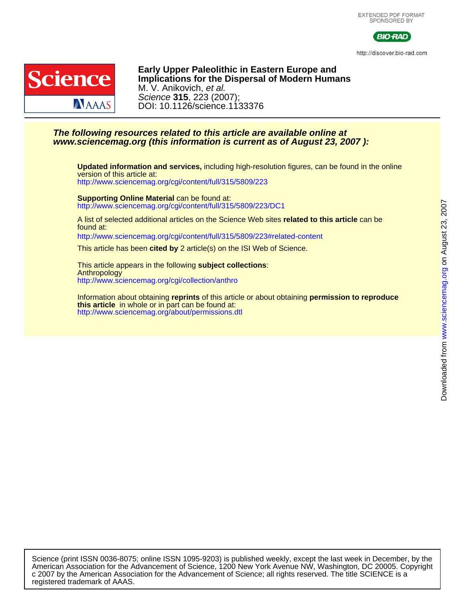

http://discover.bio-rad.com



DOI: 10.1126/science.1133376 Science **315**, 223 (2007); M. V. Anikovich, et al. **Implications for the Dispersal of Modern Humans Early Upper Paleolithic in Eastern Europe and**

## **www.sciencemag.org (this information is current as of August 23, 2007 ): The following resources related to this article are available online at**

<http://www.sciencemag.org/cgi/content/full/315/5809/223> version of this article at: **Updated information and services,** including high-resolution figures, can be found in the online

<http://www.sciencemag.org/cgi/content/full/315/5809/223/DC1> **Supporting Online Material** can be found at:

found at: A list of selected additional articles on the Science Web sites **related to this article** can be

<http://www.sciencemag.org/cgi/content/full/315/5809/223#related-content>

This article has been **cited by** 2 article(s) on the ISI Web of Science.

<http://www.sciencemag.org/cgi/collection/anthro> Anthropology This article appears in the following **subject collections**:

<http://www.sciencemag.org/about/permissions.dtl> **this article** in whole or in part can be found at: Information about obtaining **reprints** of this article or about obtaining **permission to reproduce**

registered trademark of AAAS. c 2007 by the American Association for the Advancement of Science; all rights reserved. The title SCIENCE is a American Association for the Advancement of Science, 1200 New York Avenue NW, Washington, DC 20005. Copyright Science (print ISSN 0036-8075; online ISSN 1095-9203) is published weekly, except the last week in December, by the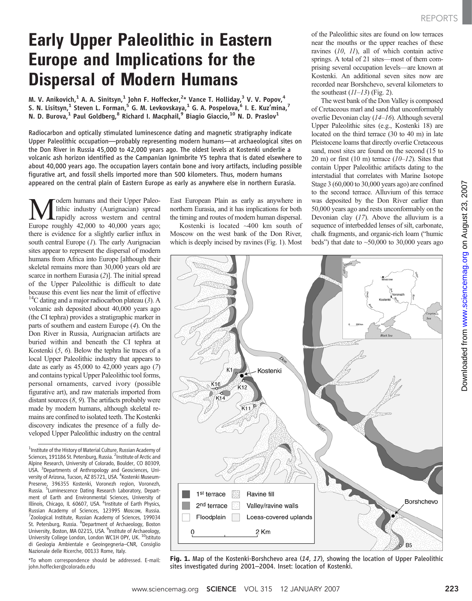# Early Upper Paleolithic in Eastern Europe and Implications for the Dispersal of Modern Humans

M. V. Anikovich, $^1$  A. A. Sinitsyn, $^1$  John F. Hoffecker, $^{2\ast}$  Vance T. Holliday, $^3$  V. V. Popov, $^4$ S. N. Lisitsyn,<sup>1</sup> Steven L. Forman,<sup>5</sup> G. M. Levkovskaya,<sup>1</sup> G. A. Pospelova,<sup>6</sup> I. E. Kuz'mina,<sup>7</sup> N. D. Burova, $^1$  Paul Goldberg, $^8$  Richard I. Macphail, $^9$  Biagio Giaccio, $^{10}$  N. D. Praslov $^1$ 

Radiocarbon and optically stimulated luminescence dating and magnetic stratigraphy indicate Upper Paleolithic occupation—probably representing modern humans—at archaeological sites on the Don River in Russia 45,000 to 42,000 years ago. The oldest levels at Kostenki underlie a volcanic ash horizon identified as the Campanian Ignimbrite Y5 tephra that is dated elsewhere to about 40,000 years ago. The occupation layers contain bone and ivory artifacts, including possible figurative art, and fossil shells imported more than 500 kilometers. Thus, modern humans appeared on the central plain of Eastern Europe as early as anywhere else in northern Eurasia.

**M** odern humans and their Upper Paleo-<br>
rapidly across western and central<br>
Furone roughly 42,000 to 40,000 years ago: lithic industry (Aurignacian) spread Europe roughly 42,000 to 40,000 years ago; there is evidence for a slightly earlier influx in south central Europe  $(I)$ . The early Aurignacian sites appear to represent the dispersal of modern humans from Africa into Europe [although their skeletal remains more than 30,000 years old are scarce in northern Eurasia (2)]. The initial spread of the Upper Paleolithic is difficult to date because this event lies near the limit of effective <sup>14</sup>C dating and a major radiocarbon plateau (3). A volcanic ash deposited about 40,000 years ago (the CI tephra) provides a stratigraphic marker in parts of southern and eastern Europe (4). On the Don River in Russia, Aurignacian artifacts are buried within and beneath the CI tephra at Kostenki (5, 6). Below the tephra lie traces of a local Upper Paleolithic industry that appears to date as early as  $45,000$  to  $42,000$  years ago  $(7)$ and contains typical Upper Paleolithic tool forms, personal ornaments, carved ivory (possible figurative art), and raw materials imported from distant sources  $(8, 9)$ . The artifacts probably were made by modern humans, although skeletal remains are confined to isolated teeth. The Kostenki discovery indicates the presence of a fully developed Upper Paleolithic industry on the central

<sup>1</sup>Institute of the History of Material Culture, Russian Academy of Sciences, 191186 St. Petersburg, Russia. <sup>2</sup>Institute of Arctic and Alpine Research, University of Colorado, Boulder, CO 80309, USA. <sup>3</sup> Departments of Anthropology and Geosciences, University of Arizona, Tucson, AZ 85721, USA. <sup>4</sup>Kostenki Museum-Preserve, 396355 Kostenki, Voronezh region, Voronezh, Russia. <sup>5</sup> Luminescence Dating Research Laboratory, Department of Earth and Environmental Sciences, University of Illinois, Chicago, IL 60607, USA. <sup>6</sup>Institute of Earth Physics, Russian Academy of Sciences, 123995 Moscow, Russia. 7 Zoological Institute, Russian Academy of Sciences, 199034 St. Petersburg, Russia. <sup>8</sup>Department of Archaeology, Boston University, Boston, MA 02215, USA. <sup>9</sup>Institute of Archaeology, University College London, London WC1H 0PY, UK. <sup>10</sup>Istituto di Geologia Ambientale e Geoingegneria–CNR, Consiglio Nazionale delle Ricerche, 00133 Rome, Italy.

\*To whom correspondence should be addressed. E-mail: john.hoffecker@colorado.edu

East European Plain as early as anywhere in northern Eurasia, and it has implications for both the timing and routes of modern human dispersal.

Kostenki is located ~400 km south of Moscow on the west bank of the Don River, which is deeply incised by ravines (Fig. 1). Most of the Paleolithic sites are found on low terraces near the mouths or the upper reaches of these ravines (10, 11), all of which contain active springs. A total of 21 sites—most of them comprising several occupation levels—are known at Kostenki. An additional seven sites now are recorded near Borshchevo, several kilometers to the southeast  $(11-13)$  (Fig. 2).

The west bank of the Don Valley is composed of Cretaceous marl and sand that unconformably overlie Devonian clay (14–16). Although several Upper Paleolithic sites (e.g., Kostenki 18) are located on the third terrace (30 to 40 m) in late Pleistocene loams that directly overlie Cretaceous sand, most sites are found on the second (15 to 20 m) or first  $(10 \text{ m})$  terrace  $(10-12)$ . Sites that contain Upper Paleolithic artifacts dating to the interstadial that correlates with Marine Isotope Stage 3 (60,000 to 30,000 years ago) are confined to the second terrace. Alluvium of this terrace was deposited by the Don River earlier than 50,000 years ago and rests unconformably on the Devonian clay  $(17)$ . Above the alluvium is a sequence of interbedded lenses of silt, carbonate, chalk fragments, and organic-rich loam ("humic beds") that date to  $\sim$  50,000 to 30,000 years ago



Fig. 1. Map of the Kostenki-Borshchevo area (14, 17), showing the location of Upper Paleolithic sites investigated during 2001–2004. Inset: location of Kostenki.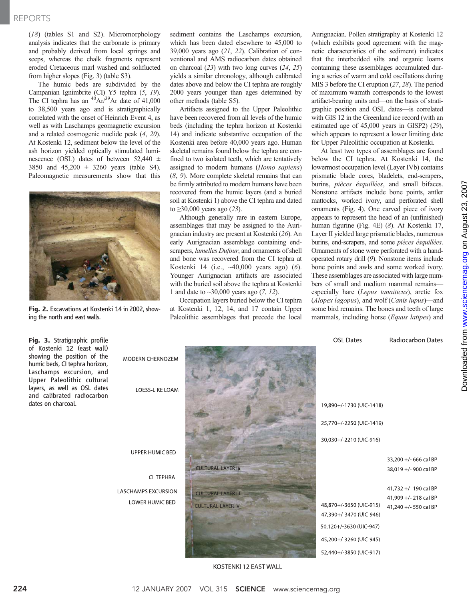### REPORTS

(18) (tables S1 and S2). Micromorphology analysis indicates that the carbonate is primary and probably derived from local springs and seeps, whereas the chalk fragments represent eroded Cretaceous marl washed and soliflucted from higher slopes (Fig. 3) (table S3).

The humic beds are subdivided by the Campanian Ignimbrite (CI) Y5 tephra (5, 19). The CI tephra has an  $^{40}Ar/^{39}Ar$  date of 41,000 to 38,500 years ago and is stratigraphically correlated with the onset of Heinrich Event 4, as well as with Laschamps geomagnetic excursion and a related cosmogenic nuclide peak (4, 20). At Kostenki 12, sediment below the level of the ash horizon yielded optically stimulated luminescence (OSL) dates of between 52,440 ± 3850 and 45,200 ± 3260 years (table S4). Paleomagnetic measurements show that this



Fig. 2. Excavations at Kostenki 14 in 2002, showing the north and east walls.

sediment contains the Laschamps excursion, which has been dated elsewhere to 45,000 to 39,000 years ago  $(21, 22)$ . Calibration of conventional and AMS radiocarbon dates obtained on charcoal (23) with two long curves (24, 25) yields a similar chronology, although calibrated dates above and below the CI tephra are roughly 2000 years younger than ages determined by other methods (table S5).

Artifacts assigned to the Upper Paleolithic have been recovered from all levels of the humic beds (including the tephra horizon at Kostenki 14) and indicate substantive occupation of the Kostenki area before 40,000 years ago. Human skeletal remains found below the tephra are confined to two isolated teeth, which are tentatively assigned to modern humans (Homo sapiens) (8, 9). More complete skeletal remains that can be firmly attributed to modern humans have been recovered from the humic layers (and a buried soil at Kostenki 1) above the CI tephra and dated to  $\geq$ 30,000 years ago (23).

Although generally rare in eastern Europe, assemblages that may be assigned to the Aurignacian industry are present at Kostenki (26). An early Aurignacian assemblage containing endscrapers, lamelles Dufour, and ornaments of shell and bone was recovered from the CI tephra at Kostenki 14 (i.e., ~40,000 years ago) (6). Younger Aurignacian artifacts are associated with the buried soil above the tephra at Kostenki 1 and date to  $\sim$ 30,000 years ago (7, 12).

Occupation layers buried below the CI tephra at Kostenki 1, 12, 14, and 17 contain Upper Paleolithic assemblages that precede the local Aurignacian. Pollen stratigraphy at Kostenki 12 (which exhibits good agreement with the magnetic characteristics of the sediment) indicates that the interbedded silts and organic loams containing these assemblages accumulated during a series of warm and cold oscillations during MIS 3 before the CI eruption (27, 28). The period of maximum warmth corresponds to the lowest artifact-bearing units and—on the basis of stratigraphic position and OSL dates—is correlated with GIS 12 in the Greenland ice record (with an estimated age of 45,000 years in GISP2) (29), which appears to represent a lower limiting date for Upper Paleolithic occupation at Kostenki.

At least two types of assemblages are found below the CI tephra. At Kostenki 14, the lowermost occupation level (Layer IVb) contains prismatic blade cores, bladelets, end-scrapers, burins, pièces ésquillées, and small bifaces. Nonstone artifacts include bone points, antler mattocks, worked ivory, and perforated shell ornaments (Fig. 4). One carved piece of ivory appears to represent the head of an (unfinished) human figurine (Fig. 4E) (8). At Kostenki 17, Layer II yielded large prismatic blades, numerous burins, end-scrapers, and some pièces ésquillées. Ornaments of stone were perforated with a handoperated rotary drill (9). Nonstone items include bone points and awls and some worked ivory. These assemblages are associated with large numbers of small and medium mammal remains especially hare (Lepus tanaiticus), arctic fox (Alopex lagopus), and wolf (Canis lupus)—and some bird remains. The bones and teeth of large mammals, including horse (Equus latipes) and

| Fig. 3. Stratigraphic profile<br>of Kostenki 12 (east wall)<br>showing the position of the<br>humic beds, CI tephra horizon,<br>Laschamps excursion, and<br>Upper Paleolithic cultural<br>layers, as well as OSL dates<br>and calibrated radiocarbon | <b>MODERN CHERNOZEM</b><br>LOESS-LIKE LOAM    |                                                       | <b>OSL Dates</b>                                                                                                                    | Radiocarbon Dates                                                      |
|------------------------------------------------------------------------------------------------------------------------------------------------------------------------------------------------------------------------------------------------------|-----------------------------------------------|-------------------------------------------------------|-------------------------------------------------------------------------------------------------------------------------------------|------------------------------------------------------------------------|
| dates on charcoal.                                                                                                                                                                                                                                   |                                               |                                                       | 19,890+/-1730 (UIC-1418)                                                                                                            |                                                                        |
|                                                                                                                                                                                                                                                      |                                               |                                                       | 25,770+/-2250 (UIC-1419)                                                                                                            |                                                                        |
|                                                                                                                                                                                                                                                      | UPPER HUMIC BED                               |                                                       | 30,030+/-2210 (UIC-916)                                                                                                             |                                                                        |
|                                                                                                                                                                                                                                                      |                                               | <b>CULTURAL LAYER Ja</b>                              |                                                                                                                                     | 33,200 +/- 666 cal BP<br>38,019 +/- 900 cal BP                         |
|                                                                                                                                                                                                                                                      | CI TEPHRA                                     |                                                       |                                                                                                                                     |                                                                        |
|                                                                                                                                                                                                                                                      | <b>LASCHAMPS EXCURSION</b><br>LOWER HUMIC BED | <b>CULTURAL LAYER III</b><br><b>CULTURAL LAYER IV</b> | 48,870+/-3650 (UIC-915)<br>47,390+/-3470 (UIC-946)<br>50,120+/-3630 (UIC-947)<br>45,200+/-3260 (UIC-945)<br>52,440+/-3850 (UIC-917) | 41,732 +/-190 cal BP<br>41,909 +/- 218 cal BP<br>41.240 +/- 550 cal BP |
|                                                                                                                                                                                                                                                      |                                               | KOSTENKI 12 FAST WALL                                 |                                                                                                                                     |                                                                        |

KOSTENKI TZ EAST WALL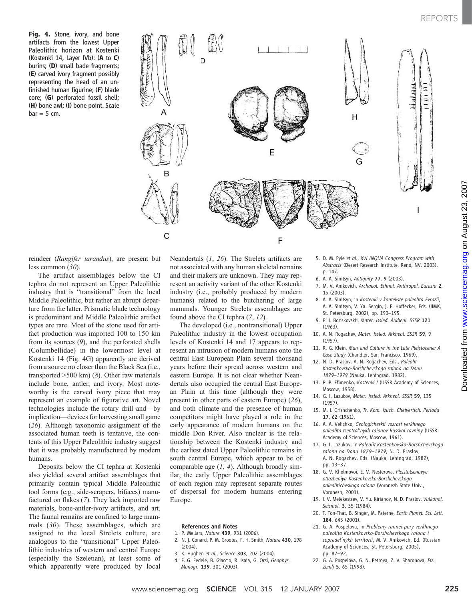Fig. 4. Stone, ivory, and bone artifacts from the lowest Upper Paleolithic horizon at Kostenki (Kostenki 14, Layer IVb): (A to C) burins; (D) small bade fragments; (E) carved ivory fragment possibly representing the head of an unfinished human figurine; (F) blade core; (G) perforated fossil shell; (H) bone awl; (I) bone point. Scale  $bar = 5$  cm.



reindeer (Rangifer tarandus), are present but less common (30).

The artifact assemblages below the CI tephra do not represent an Upper Paleolithic industry that is "transitional" from the local Middle Paleolithic, but rather an abrupt departure from the latter. Prismatic blade technology is predominant and Middle Paleolithic artifact types are rare. Most of the stone used for artifact production was imported 100 to 150 km from its sources (9), and the perforated shells (Columbellidae) in the lowermost level at Kostenki 14 (Fig. 4G) apparently are derived from a source no closer than the Black Sea (i.e., transported  $>500$  km) (8). Other raw materials include bone, antler, and ivory. Most noteworthy is the carved ivory piece that may represent an example of figurative art. Novel technologies include the rotary drill and—by implication—devices for harvesting small game (26). Although taxonomic assignment of the associated human teeth is tentative, the contents of this Upper Paleolithic industry suggest that it was probably manufactured by modern humans.

Deposits below the CI tephra at Kostenki also yielded several artifact assemblages that primarily contain typical Middle Paleolithic tool forms (e.g., side-scrapers, bifaces) manufactured on flakes (7). They lack imported raw materials, bone-antler-ivory artifacts, and art. The faunal remains are confined to large mammals (30). These assemblages, which are assigned to the local Strelets culture, are analogous to the "transitional" Upper Paleolithic industries of western and central Europe (especially the Szeletian), at least some of which apparently were produced by local

Neandertals (1, 26). The Strelets artifacts are not associated with any human skeletal remains and their makers are unknown. They may represent an activity variant of the other Kostenki industry (i.e., probably produced by modern humans) related to the butchering of large mammals. Younger Strelets assemblages are found above the CI tephra (7, 12).

The developed (i.e., nontransitional) Upper Paleolithic industry in the lowest occupation levels of Kostenki 14 and 17 appears to represent an intrusion of modern humans onto the central East European Plain several thousand years before their spread across western and eastern Europe. It is not clear whether Neandertals also occupied the central East European Plain at this time (although they were present in other parts of eastern Europe) (26), and both climate and the presence of human competitors might have played a role in the early appearance of modern humans on the middle Don River. Also unclear is the relationship between the Kostenki industry and the earliest dated Upper Paleolithic remains in south central Europe, which appear to be of comparable age  $(1, 4)$ . Although broadly similar, the early Upper Paleolithic assemblages of each region may represent separate routes of dispersal for modern humans entering Europe.

#### References and Notes

- 1. P. Mellars, Nature 439, 931 (2006).
- 2. N. J. Conard, P. M. Grootes, F. H. Smith, Nature 430, 198 (2004).
- 3. K. Hughen et al., Science 303, 202 (2004).
- 4. F. G. Fedele, B. Giaccio, R. Isaia, G. Orsi, Geophys. Monogr. 139, 301 (2003).
- 5. D. M. Pyle et al., XVI INQUA Congress Program with Abstracts (Desert Research Institute, Reno, NV, 2003), p. 147.
- 6. A. A. Sinitsyn, Antiquity 77, 9 (2003).
- 7. M. V. Anikovich, Archaeol. Ethnol. Anthropol. Eurasia 2, 15 (2003).
- 8. A. A. Sinitsyn, in Kostenki v kontekste paleolita Evrazii, A. A. Sinitsyn, V. Ya. Sergin, J. F. Hoffecker, Eds. (IIMK, St. Petersburg, 2002), pp. 190–195.
- 9. P. I. Boriskovskii, Mater. Issled. Arkheol. SSSR 121 (1963).
- 10. A. N. Rogachev, Mater. Issled. Arkheol. SSSR 59, 9 (1957).
- 11. R. G. Klein, Man and Culture in the Late Pleistocene: A Case Study (Chandler, San Francisco, 1969).
- 12. N. D. Praslov, A. N. Rogachev, Eds., Paleolit Kostenkovsko-Borshchevskogo raiona na Donu 1879–1979 (Nauka, Leningrad, 1982).
- 13. P. P. Efimenko, Kostenki I (USSR Academy of Sciences, Moscow, 1958).
- 14. G. I. Lazukov, Mater. Issled. Arkheol. SSSR 59, 135 (1957).
- 15. M. I. Grishchenko, Tr. Kom. Izuch. Chetvertich. Perioda 17, 62 (1961).
- 16. A. A. Velichko, Geologicheskii vozrast verkhnego paleolita tsentral'nykh raionov Russkoi ravniny (USSR Academy of Sciences, Moscow, 1961).
- 17. G. I. Lazukov, in Paleolit Kostenkovsko-Borshchevskogo raiona na Donu 1879–1979, N. D. Praslov, A. N. Rogachev, Eds. (Nauka, Leningrad, 1982), pp. 13–37.
- 18. G. V. Kholmovoi, E. V. Nesterova, Pleistotsenovye otlozheniya Kostenkovsko-Borshchevskogo paleoliticheskogo raiona (Voronezh State Univ., Voronezh, 2001).
- 19. I. V. Melekestsev, V. Yu. Kirianov, N. D. Praslov, Vulkanol. Seismol. 3, 35 (1984).
- 20. T. Ton-That, B. Singer, M. Paterne, Earth Planet. Sci. Lett. 184, 645 (2001).
- 21. G. A. Pospelova, in Problemy rannei pory verkhnego paleolita Kostenkovsko-Borshchevskogo raiona i sopredel'nykh territorii, M. V. Anikovich, Ed. (Russian Academy of Sciences, St. Petersburg, 2005), pp. 87–92.
- 22. G. A. Pospelova, G. N. Petrova, Z. V. Sharonova, Fiz. Zemli 5, 65 (1998).